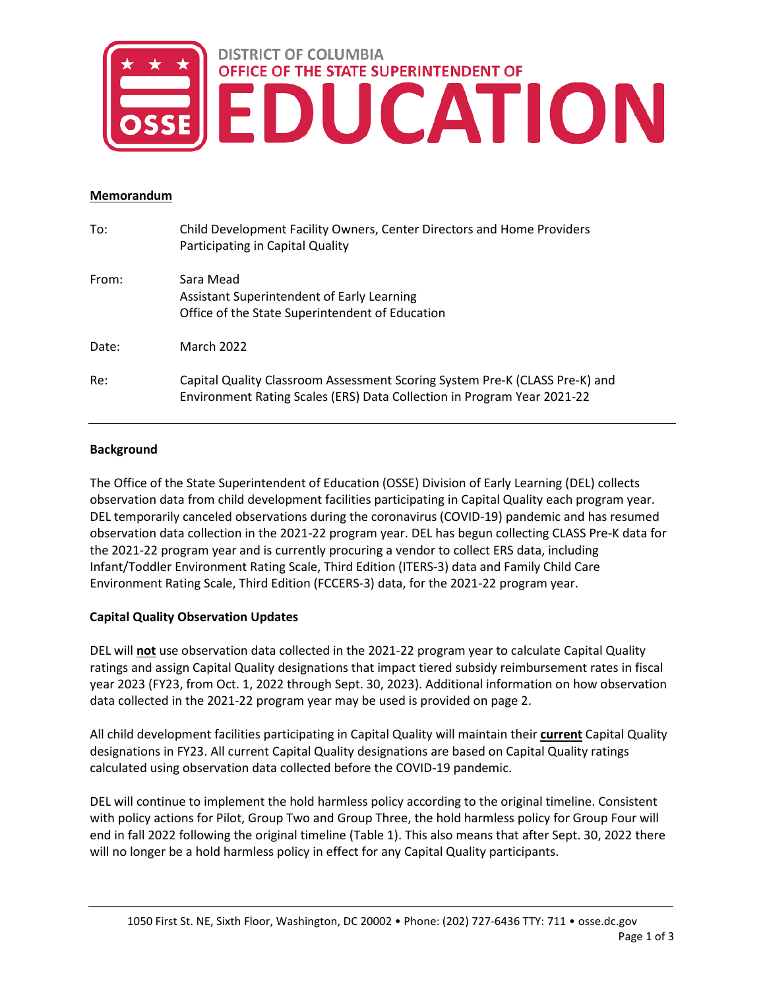# **DISTRICT OF COLUMBIA** OFFICE OF THE STATE SUPERINTENDENT OF EDUCATION

#### **Memorandum**

| To:   | Child Development Facility Owners, Center Directors and Home Providers<br>Participating in Capital Quality                                             |
|-------|--------------------------------------------------------------------------------------------------------------------------------------------------------|
| From: | Sara Mead<br>Assistant Superintendent of Early Learning<br>Office of the State Superintendent of Education                                             |
| Date: | March 2022                                                                                                                                             |
| Re:   | Capital Quality Classroom Assessment Scoring System Pre-K (CLASS Pre-K) and<br>Environment Rating Scales (ERS) Data Collection in Program Year 2021-22 |

### **Background**

The Office of the State Superintendent of Education (OSSE) Division of Early Learning (DEL) collects observation data from child development facilities participating in Capital Quality each program year. DEL temporarily canceled observations during the coronavirus (COVID-19) pandemic and has resumed observation data collection in the 2021-22 program year. DEL has begun collecting CLASS Pre-K data for the 2021-22 program year and is currently procuring a vendor to collect ERS data, including Infant/Toddler Environment Rating Scale, Third Edition (ITERS-3) data and Family Child Care Environment Rating Scale, Third Edition (FCCERS-3) data, for the 2021-22 program year.

## **Capital Quality Observation Updates**

DEL will **not** use observation data collected in the 2021-22 program year to calculate Capital Quality ratings and assign Capital Quality designations that impact tiered subsidy reimbursement rates in fiscal year 2023 (FY23, from Oct. 1, 2022 through Sept. 30, 2023). Additional information on how observation data collected in the 2021-22 program year may be used is provided on page 2.

All child development facilities participating in Capital Quality will maintain their **current** Capital Quality designations in FY23. All current Capital Quality designations are based on Capital Quality ratings calculated using observation data collected before the COVID-19 pandemic.

DEL will continue to implement the hold harmless policy according to the original timeline. Consistent with policy actions for Pilot, Group Two and Group Three, the hold harmless policy for Group Four will end in fall 2022 following the original timeline (Table 1). This also means that after Sept. 30, 2022 there will no longer be a hold harmless policy in effect for any Capital Quality participants.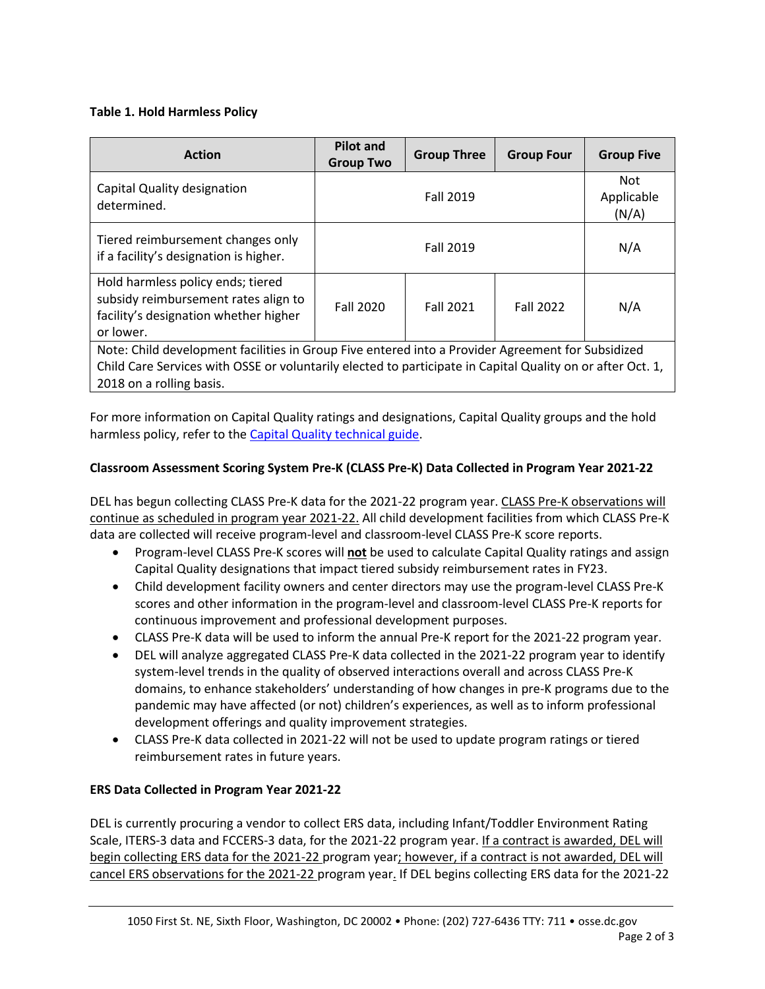### **Table 1. Hold Harmless Policy**

| <b>Action</b>                                                                                                                                                                                                                               | <b>Pilot and</b><br><b>Group Two</b> | <b>Group Three</b> | <b>Group Four</b> | <b>Group Five</b>                 |  |
|---------------------------------------------------------------------------------------------------------------------------------------------------------------------------------------------------------------------------------------------|--------------------------------------|--------------------|-------------------|-----------------------------------|--|
| Capital Quality designation<br>determined.                                                                                                                                                                                                  |                                      | <b>Fall 2019</b>   |                   | <b>Not</b><br>Applicable<br>(N/A) |  |
| Tiered reimbursement changes only<br>if a facility's designation is higher.                                                                                                                                                                 | <b>Fall 2019</b>                     |                    |                   | N/A                               |  |
| Hold harmless policy ends; tiered<br>subsidy reimbursement rates align to<br>facility's designation whether higher<br>or lower.                                                                                                             | <b>Fall 2020</b>                     | <b>Fall 2021</b>   | <b>Fall 2022</b>  | N/A                               |  |
| Note: Child development facilities in Group Five entered into a Provider Agreement for Subsidized<br>Child Care Services with OSSE or voluntarily elected to participate in Capital Quality on or after Oct. 1,<br>2018 on a rolling basis. |                                      |                    |                   |                                   |  |

For more information on Capital Quality ratings and designations, Capital Quality groups and the hold harmless policy, refer to the [Capital Quality technical guide.](https://osse.dc.gov/sites/default/files/dc/sites/osse/page_content/attachments/05.17.2021%20Capital%20Quality%20Technical%20Guide.pdf)

## **Classroom Assessment Scoring System Pre-K (CLASS Pre-K) Data Collected in Program Year 2021-22**

DEL has begun collecting CLASS Pre-K data for the 2021-22 program year. CLASS Pre-K observations will continue as scheduled in program year 2021-22. All child development facilities from which CLASS Pre-K data are collected will receive program-level and classroom-level CLASS Pre-K score reports.

- Program-level CLASS Pre-K scores will **not** be used to calculate Capital Quality ratings and assign Capital Quality designations that impact tiered subsidy reimbursement rates in FY23.
- Child development facility owners and center directors may use the program-level CLASS Pre-K scores and other information in the program-level and classroom-level CLASS Pre-K reports for continuous improvement and professional development purposes.
- CLASS Pre-K data will be used to inform the annual Pre-K report for the 2021-22 program year.
- DEL will analyze aggregated CLASS Pre-K data collected in the 2021-22 program year to identify system-level trends in the quality of observed interactions overall and across CLASS Pre-K domains, to enhance stakeholders' understanding of how changes in pre-K programs due to the pandemic may have affected (or not) children's experiences, as well as to inform professional development offerings and quality improvement strategies.
- CLASS Pre-K data collected in 2021-22 will not be used to update program ratings or tiered reimbursement rates in future years.

## **ERS Data Collected in Program Year 2021-22**

DEL is currently procuring a vendor to collect ERS data, including Infant/Toddler Environment Rating Scale, ITERS-3 data and FCCERS-3 data, for the 2021-22 program year. If a contract is awarded, DEL will begin collecting ERS data for the 2021-22 program year; however, if a contract is not awarded, DEL will cancel ERS observations for the 2021-22 program year. If DEL begins collecting ERS data for the 2021-22